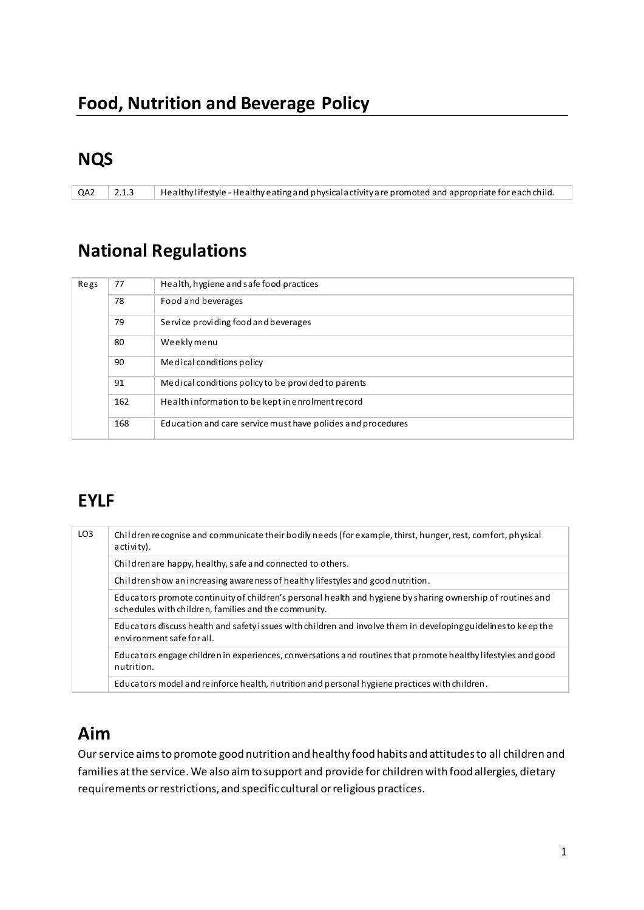## **NQS**

QA2 2.1.3 Healthy lifestyle - Healthy eating and physical activity are promoted and appropriate for each child.

## **National Regulations**

| Regs | 77  | Health, hygiene and safe food practices                      |
|------|-----|--------------------------------------------------------------|
|      | 78  | Food and beverages                                           |
|      | 79  | Service providing food and beverages                         |
|      | 80  | Weeklymenu                                                   |
|      | 90  | Medical conditions policy                                    |
|      | 91  | Medical conditions policy to be provided to parents          |
|      | 162 | Health information to be kept in enrolment record            |
|      | 168 | Education and care service must have policies and procedures |

# **EYLF**

| LO <sub>3</sub> | Children recognise and communicate their bodily needs (for example, thirst, hunger, rest, comfort, physical<br>activity).                                           |  |
|-----------------|---------------------------------------------------------------------------------------------------------------------------------------------------------------------|--|
|                 | Children are happy, healthy, safe and connected to others.                                                                                                          |  |
|                 | Children show an increasing aware ness of healthy lifestyles and good nutrition.                                                                                    |  |
|                 | Educators promote continuity of children's personal health and hygiene by sharing ownership of routines and<br>schedules with children, families and the community. |  |
|                 | Educators discuss health and safety issues with children and involve them in developing guidelines to keep the<br>environment safe for all.                         |  |
|                 | Educators engage children in experiences, conversations and routines that promote healthy lifestyles and good<br>nutrition.                                         |  |
|                 | Educators model and reinforce health, nutrition and personal hygiene practices with children.                                                                       |  |

## **Aim**

Our service aims to promote good nutrition and healthy food habits and attitudes to all children and families at the service. We also aim to support and provide for children with food allergies, dietary requirements or restrictions, and specific cultural or religious practices.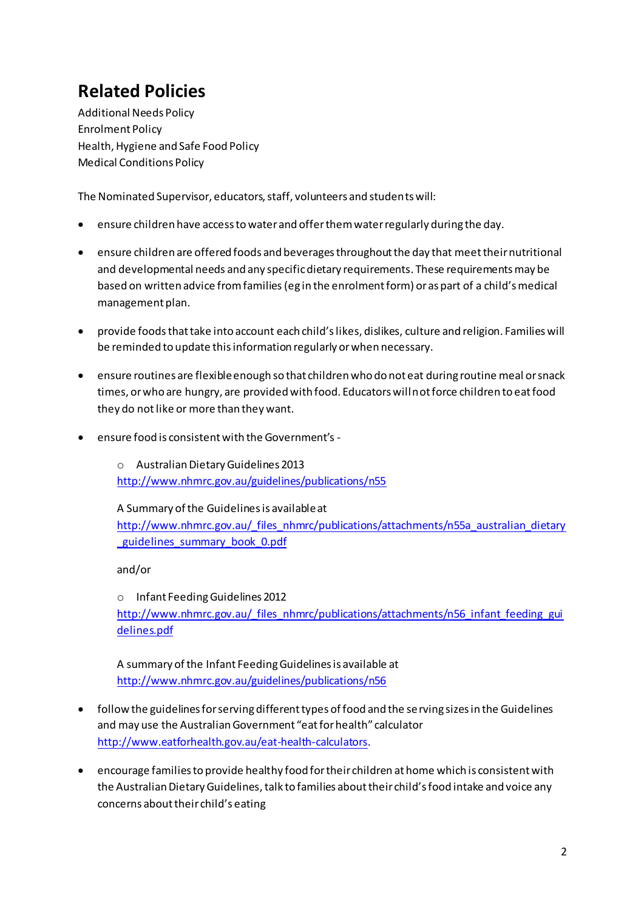# **Related Policies**

**Additional Needs Policy Enrolment Policy** Health, Hygiene and Safe Food Policy **Medical Conditions Policy** 

The Nominated Supervisor, educators, staff, volunteers and students will:

- ensure children have access to water and offer them water regularly during the day.
- ensure children are offered foods and beverages throughout the day that meet their nutritional and developmental needs and any specific dietary requirements. These requirements may be based on written advice from families (eg in the enrolment form) or as part of a child's medical management plan.
- provide foods that take into account each child's likes, dislikes, culture and religion. Families will be reminded to update this information regularly or when necessary.
- ensure routines are flexible enough so that children who do not eat during routine meal or snack times, or who are hungry, are provided with food. Educators will not force children to eat food they do not like or more than they want.
- ensure food is consistent with the Government's -

o Australian Dietary Guidelines 2013 http://www.nhmrc.gov.au/guidelines/publications/n55

### A Summary of the Guidelines is available at

http://www.nhmrc.gov.au/ files\_nhmrc/publications/attachments/n55a\_australian\_dietary guidelines summary book 0.pdf

 $and/or$ 

o Infant Feeding Guidelines 2012 http://www.nhmrc.gov.au/ files\_nhmrc/publications/attachments/n56\_infant\_feeding\_gui delines.pdf

A summary of the Infant Feeding Guidelines is available at http://www.nhmrc.gov.au/guidelines/publications/n56

- follow the guidelines for serving different types of food and the serving sizes in the Guidelines and may use the Australian Government "eat for health" calculator http://www.eatforhealth.gov.au/eat-health-calculators.
- encourage families to provide healthy food for their children at home which is consistent with the Australian Dietary Guidelines, talk to families about their child's food intake and voice any concerns about their child's eating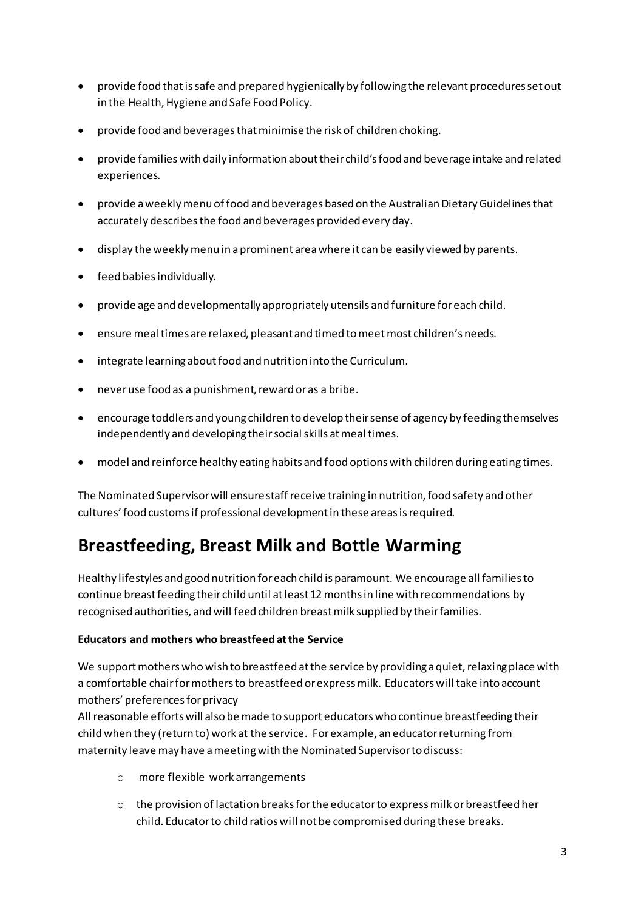- provide food that is safe and prepared hygienically by following the relevant procedures set out in the Health, Hygiene and Safe Food Policy.
- provide food and beverages that minimise the risk of children choking.
- provide families with daily information about their child's food and beverage intake and related experiences.
- provide a weekly menu of food and beverages based on the Australian Dietary Guidelines that accurately describes the food and beverages provided every day.
- display the weekly menu in a prominent area where it can be easily viewed by parents.
- feed babies individually.
- provide age and developmentally appropriately utensils and furniture for each child.
- ensure meal times are relaxed, pleasant and timed to meet most children's needs.
- integrate learning about food and nutrition into the Curriculum.
- never use food as a punishment, reward or as a bribe.
- encourage toddlers and young children to develop their sense of agency by feeding themselves independently and developing their social skills at meal times.
- model and reinforce healthy eating habits and food options with children during eating times.

The Nominated Supervisor will ensure staff receive training in nutrition, food safety and other cultures' food customs if professional development in these areas is required.

# **Breastfeeding, Breast Milk and Bottle Warming**

Healthy lifestyles and good nutrition for each child is paramount. We encourage all families to continue breast feeding their child until at least 12 months in line with recommendations by recognised authorities, and will feed children breast milk supplied by their families.

### Educators and mothers who breastfeed at the Service

We support mothers who wish to breastfeed at the service by providing a quiet, relaxing place with a comfortable chair for mothers to breastfeed or express milk. Educators will take into account mothers' preferences for privacy

All reasonable efforts will also be made to support educators who continue breastfeeding their child when they (return to) work at the service. For example, an educator returning from maternity leave may have a meeting with the Nominated Supervisor to discuss:

- o more flexible work arrangements
- o the provision of lactation breaks for the educator to express milk or breastfeed her child. Educator to child ratios will not be compromised during these breaks.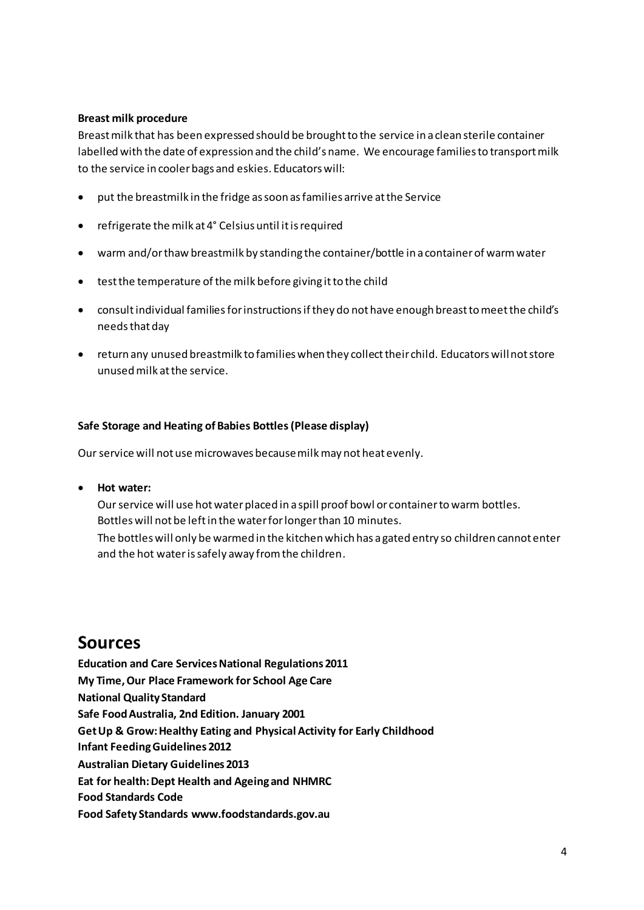### **Breast milk procedure**

Breast milk that has been expressed should be brought to the service in a clean sterile container labelled with the date of expression and the child's name. We encourage families to transport milk to the service in cooler bags and eskies. Educators will:

- put the breastmilk in the fridge as soon as families arrive at the Service
- refrigerate the milk at 4° Celsius until it is required
- warm and/or thaw breastmilk by standing the container/bottle in a container of warm water
- test the temperature of the milk before giving it to the child
- consult individual families for instructions if they do not have enough breast to meet the child's needs that day
- return any unused breastmilk to families when they collect their child. Educators will not store unused milk at the service.

#### **Safe Storage and Heating of Babies Bottles (Please display)**

Our service will not use microwaves because milk may not heat evenly.

• **Hot water:**

Our service will use hot water placed in a spill proof bowl or container to warm bottles. Bottles will not be left in the water for longer than 10 minutes. The bottles will only be warmed in the kitchen which has a gated entry so children cannot enter and the hot water is safely away from the children.

### **Sources**

**Education and Care Services National Regulations 2011 My Time, Our Place Framework for School Age Care National Quality Standard Safe Food Australia, 2nd Edition. January 2001 Get Up & Grow: Healthy Eating and Physical Activity for Early Childhood Infant Feeding Guidelines 2012 Australian Dietary Guidelines 2013 Eat for health: Dept Health and Ageing and NHMRC Food Standards Code Food Safety Standards www.foodstandards.gov.au**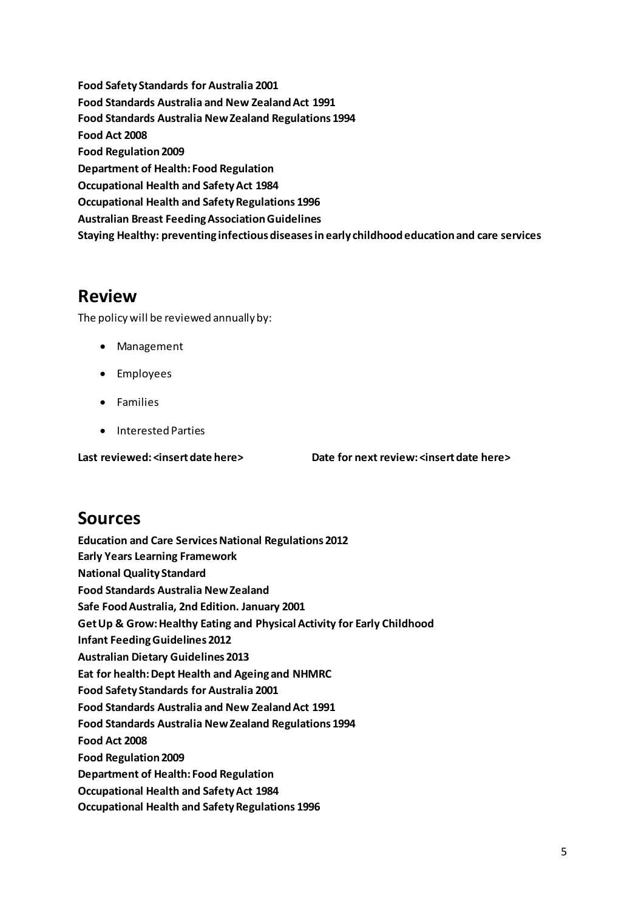**Food Safety Standards for Australia 2001 Food Standards Australia and New Zealand Act 1991 Food Standards Australia New Zealand Regulations 1994 Food Act 2008 Food Regulation 2009 Department of Health: Food Regulation Occupational Health and Safety Act 1984 Occupational Health and Safety Regulations 1996 Australian Breast Feeding Association Guidelines Staying Healthy: preventing infectious diseases in early childhood education and care services** 

## **Review**

The policy will be reviewed annually by:

- Management
- Employees
- Families
- Interested Parties

**Last reviewed: <insert date here> Date for next review: <insert date here>** 

## **Sources**

**Education and Care Services National Regulations 2012 Early Years Learning Framework National Quality Standard Food Standards Australia New Zealand Safe Food Australia, 2nd Edition. January 2001 Get Up & Grow: Healthy Eating and Physical Activity for Early Childhood Infant Feeding Guidelines 2012 Australian Dietary Guidelines 2013 Eat for health: Dept Health and Ageing and NHMRC Food Safety Standards for Australia 2001 Food Standards Australia and New Zealand Act 1991 Food Standards Australia New Zealand Regulations 1994 Food Act 2008 Food Regulation 2009 Department of Health: Food Regulation Occupational Health and Safety Act 1984 Occupational Health and Safety Regulations 1996**